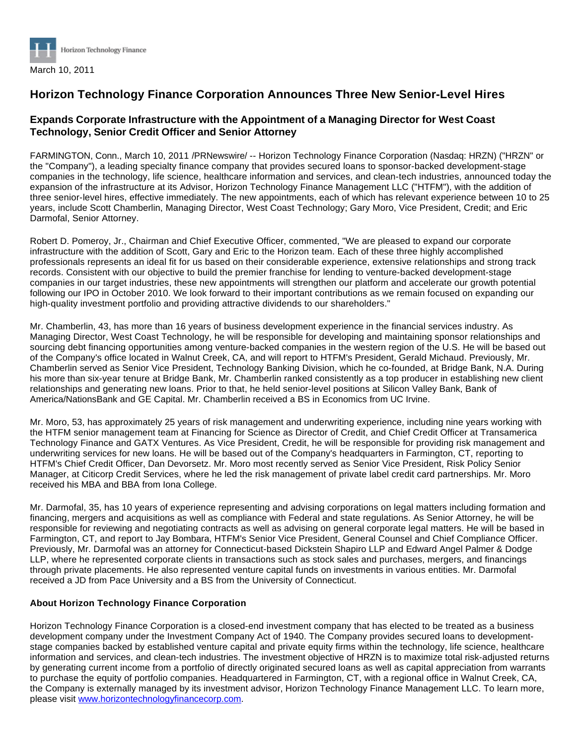

## **Horizon Technology Finance Corporation Announces Three New Senior-Level Hires**

## **Expands Corporate Infrastructure with the Appointment of a Managing Director for West Coast Technology, Senior Credit Officer and Senior Attorney**

FARMINGTON, Conn., March 10, 2011 /PRNewswire/ -- Horizon Technology Finance Corporation (Nasdaq: HRZN) ("HRZN" or the "Company"), a leading specialty finance company that provides secured loans to sponsor-backed development-stage companies in the technology, life science, healthcare information and services, and clean-tech industries, announced today the expansion of the infrastructure at its Advisor, Horizon Technology Finance Management LLC ("HTFM"), with the addition of three senior-level hires, effective immediately. The new appointments, each of which has relevant experience between 10 to 25 years, include Scott Chamberlin, Managing Director, West Coast Technology; Gary Moro, Vice President, Credit; and Eric Darmofal, Senior Attorney.

Robert D. Pomeroy, Jr., Chairman and Chief Executive Officer, commented, "We are pleased to expand our corporate infrastructure with the addition of Scott, Gary and Eric to the Horizon team. Each of these three highly accomplished professionals represents an ideal fit for us based on their considerable experience, extensive relationships and strong track records. Consistent with our objective to build the premier franchise for lending to venture-backed development-stage companies in our target industries, these new appointments will strengthen our platform and accelerate our growth potential following our IPO in October 2010. We look forward to their important contributions as we remain focused on expanding our high-quality investment portfolio and providing attractive dividends to our shareholders."

Mr. Chamberlin, 43, has more than 16 years of business development experience in the financial services industry. As Managing Director, West Coast Technology, he will be responsible for developing and maintaining sponsor relationships and sourcing debt financing opportunities among venture-backed companies in the western region of the U.S. He will be based out of the Company's office located in Walnut Creek, CA, and will report to HTFM's President, Gerald Michaud. Previously, Mr. Chamberlin served as Senior Vice President, Technology Banking Division, which he co-founded, at Bridge Bank, N.A. During his more than six-year tenure at Bridge Bank, Mr. Chamberlin ranked consistently as a top producer in establishing new client relationships and generating new loans. Prior to that, he held senior-level positions at Silicon Valley Bank, Bank of America/NationsBank and GE Capital. Mr. Chamberlin received a BS in Economics from UC Irvine.

Mr. Moro, 53, has approximately 25 years of risk management and underwriting experience, including nine years working with the HTFM senior management team at Financing for Science as Director of Credit, and Chief Credit Officer at Transamerica Technology Finance and GATX Ventures. As Vice President, Credit, he will be responsible for providing risk management and underwriting services for new loans. He will be based out of the Company's headquarters in Farmington, CT, reporting to HTFM's Chief Credit Officer, Dan Devorsetz. Mr. Moro most recently served as Senior Vice President, Risk Policy Senior Manager, at Citicorp Credit Services, where he led the risk management of private label credit card partnerships. Mr. Moro received his MBA and BBA from Iona College.

Mr. Darmofal, 35, has 10 years of experience representing and advising corporations on legal matters including formation and financing, mergers and acquisitions as well as compliance with Federal and state regulations. As Senior Attorney, he will be responsible for reviewing and negotiating contracts as well as advising on general corporate legal matters. He will be based in Farmington, CT, and report to Jay Bombara, HTFM's Senior Vice President, General Counsel and Chief Compliance Officer. Previously, Mr. Darmofal was an attorney for Connecticut-based Dickstein Shapiro LLP and Edward Angel Palmer & Dodge LLP, where he represented corporate clients in transactions such as stock sales and purchases, mergers, and financings through private placements. He also represented venture capital funds on investments in various entities. Mr. Darmofal received a JD from Pace University and a BS from the University of Connecticut.

## **About Horizon Technology Finance Corporation**

Horizon Technology Finance Corporation is a closed-end investment company that has elected to be treated as a business development company under the Investment Company Act of 1940. The Company provides secured loans to developmentstage companies backed by established venture capital and private equity firms within the technology, life science, healthcare information and services, and clean-tech industries. The investment objective of HRZN is to maximize total risk-adjusted returns by generating current income from a portfolio of directly originated secured loans as well as capital appreciation from warrants to purchase the equity of portfolio companies. Headquartered in Farmington, CT, with a regional office in Walnut Creek, CA, the Company is externally managed by its investment advisor, Horizon Technology Finance Management LLC. To learn more, please visit [www.horizontechnologyfinancecorp.com](http://www.horizontechnologyfinancecorp.com/).